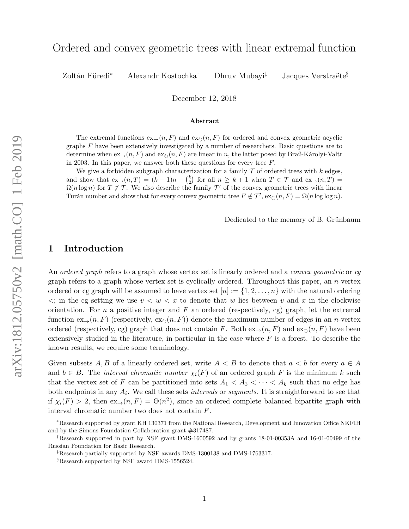# Ordered and convex geometric trees with linear extremal function

Zoltán Füredi<sup>∗</sup> Alexandr Kostochka<sup>†</sup> Dhruv Mubayi<sup>‡</sup> Jacques Verstraëte<sup>§</sup>

December 12, 2018

#### Abstract

The extremal functions  $ex_{\rightarrow}(n, F)$  and  $ex_{\circ}(n, F)$  for ordered and convex geometric acyclic graphs F have been extensively investigated by a number of researchers. Basic questions are to determine when  $\exp(n, F)$  and  $\exp(n, F)$  are linear in n, the latter posed by Braß-Károlyi-Valtr in 2003. In this paper, we answer both these questions for every tree  $F$ .

We give a forbidden subgraph characterization for a family  $\mathcal T$  of ordered trees with k edges, and show that  $ex_{\rightarrow}(n,T) = (k-1)n - {k \choose 2}$  for all  $n \geq k+1$  when  $T \in \mathcal{T}$  and  $ex_{\rightarrow}(n,T) =$  $\Omega(n \log n)$  for  $T \notin \mathcal{T}$ . We also describe the family  $\mathcal{T}'$  of the convex geometric trees with linear Turán number and show that for every convex geometric tree  $F \notin \mathcal{T}'$ ,  $\exp(n, F) = \Omega(n \log \log n)$ .

Dedicated to the memory of B. Grünbaum

# 1 Introduction

An *ordered graph* refers to a graph whose vertex set is linearly ordered and a *convex geometric* or cq graph refers to a graph whose vertex set is cyclically ordered. Throughout this paper, an  $n$ -vertex ordered or cg graph will be assumed to have vertex set  $[n] := \{1, 2, \ldots, n\}$  with the natural ordering  $\langle \cdot \rangle$ ; in the cg setting we use  $v \langle w \rangle \langle x \rangle$  to denote that w lies between v and x in the clockwise orientation. For n a positive integer and F an ordered (respectively, cg) graph, let the extremal function  $ex_{\rightarrow}(n, F)$  (respectively,  $ex_{\gamma}(n, F)$ ) denote the maximum number of edges in an *n*-vertex ordered (respectively, cg) graph that does not contain F. Both  $\exp(n, F)$  and  $\exp(n, F)$  have been extensively studied in the literature, in particular in the case where  $F$  is a forest. To describe the known results, we require some terminology.

Given subsets A, B of a linearly ordered set, write  $A < B$  to denote that  $a < b$  for every  $a \in A$ and  $b \in B$ . The *interval chromatic number*  $\chi_i(F)$  of an ordered graph F is the minimum k such that the vertex set of F can be partitioned into sets  $A_1 < A_2 < \cdots < A_k$  such that no edge has both endpoints in any  $A_i$ . We call these sets *intervals* or *segments*. It is straightforward to see that if  $\chi_i(F) > 2$ , then  $\operatorname{ex}_{\to}(n, F) = \Theta(n^2)$ , since an ordered complete balanced bipartite graph with interval chromatic number two does not contain F.

<sup>∗</sup>Research supported by grant KH 130371 from the National Research, Development and Innovation Office NKFIH and by the Simons Foundation Collaboration grant #317487.

<sup>†</sup>Research supported in part by NSF grant DMS-1600592 and by grants 18-01-00353A and 16-01-00499 of the Russian Foundation for Basic Research.

<sup>‡</sup>Research partially supported by NSF awards DMS-1300138 and DMS-1763317.

<sup>§</sup>Research supported by NSF award DMS-1556524.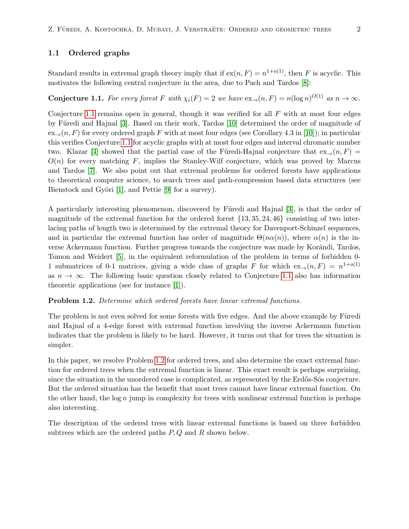## 1.1 Ordered graphs

Standard results in extremal graph theory imply that if  $ex(n, F) = n^{1+o(1)}$ , then F is acyclic. This motivates the following central conjecture in the area, due to Pach and Tardos [\[8\]](#page-12-0):

<span id="page-1-0"></span>**Conjecture 1.1.** For every forest F with  $\chi_i(F) = 2$  we have  $\mathrm{ex}_{\rightarrow}(n, F) = n(\log n)^{O(1)}$  as  $n \to \infty$ .

Conjecture [1.1](#page-1-0) remains open in general, though it was verified for all  $F$  with at most four edges by Füredi and Hajnal [\[3\]](#page-12-1). Based on their work, Tardos [\[10\]](#page-12-2) determined the order of magnitude of  $ex_{\rightarrow}(n, F)$  for every ordered graph F with at most four edges (see Corollary 4.3 in [\[10\]](#page-12-2)); in particular this verifies Conjecture [1.1](#page-1-0) for acyclic graphs with at most four edges and interval chromatic number two. Klazar [\[4\]](#page-12-3) showed that the partial case of the Füredi-Hajnal conjecture that  $ex_{\rightarrow}(n, F)$  =  $O(n)$  for every matching F, implies the Stanley-Wilf conjecture, which was proved by Marcus and Tardos [\[7\]](#page-12-4). We also point out that extremal problems for ordered forests have applications to theoretical computer science, to search trees and path-compression based data structures (see Bienstock and Györi [\[1\]](#page-12-5), and Pettie [\[9\]](#page-12-6) for a survey).

A particularly interesting phenomenon, discovered by Füredi and Hajnal [\[3\]](#page-12-1), is that the order of magnitude of the extremal function for the ordered forest  $\{13, 35, 24, 46\}$  consisting of two interlacing paths of length two is determined by the extremal theory for Davenport-Schinzel sequences, and in particular the extremal function has order of magnitude  $\Theta(n\alpha(n))$ , where  $\alpha(n)$  is the inverse Ackermann function. Further progress towards the conjecture was made by Korándi, Tardos, Tomon and Weidert [\[5\]](#page-12-7), in the equivalent reformulation of the problem in terms of forbidden 0- 1 submatrices of 0-1 matrices, giving a wide class of graphs F for which  $ex_{\rightarrow}(n, F) = n^{1+o(1)}$ as  $n \to \infty$ . The following basic question closely related to Conjecture [1.1](#page-1-0) also has information theoretic applications (see for instance [\[1\]](#page-12-5)).

#### <span id="page-1-1"></span>Problem 1.2. Determine which ordered forests have linear extremal functions.

The problem is not even solved for some forests with five edges. And the above example by Füredi and Hajnal of a 4-edge forest with extremal function involving the inverse Ackermann function indicates that the problem is likely to be hard. However, it turns out that for trees the situation is simpler.

In this paper, we resolve Problem [1.2](#page-1-1) for ordered trees, and also determine the exact extremal function for ordered trees when the extremal function is linear. This exact result is perhaps surprising, since the situation in the unordered case is complicated, as represented by the Erdős-Sós conjecture. But the ordered situation has the benefit that most trees cannot have linear extremal function. On the other hand, the  $log n$  jump in complexity for trees with nonlinear extremal function is perhaps also interesting.

The description of the ordered trees with linear extremal functions is based on three forbidden subtrees which are the ordered paths  $P, Q$  and  $R$  shown below.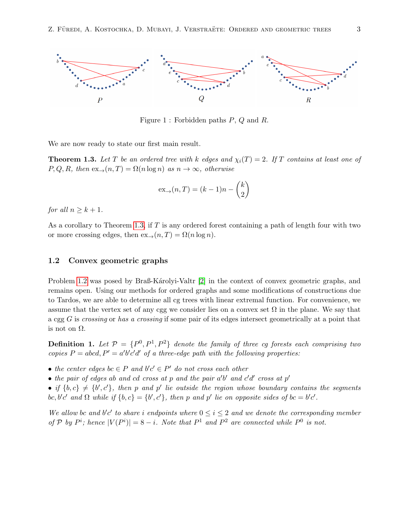

Figure 1 : Forbidden paths P, Q and R.

We are now ready to state our first main result.

<span id="page-2-0"></span>**Theorem 1.3.** Let T be an ordered tree with k edges and  $\chi_i(T) = 2$ . If T contains at least one of  $P, Q, R$ , then  $ex_{\rightarrow}(n, T) = \Omega(n \log n)$  as  $n \rightarrow \infty$ , otherwise

$$
ex_{\rightarrow}(n,T) = (k-1)n - \binom{k}{2}
$$

for all  $n \geq k+1$ .

As a corollary to Theorem [1.3,](#page-2-0) if T is any ordered forest containing a path of length four with two or more crossing edges, then  $ex_{\rightarrow}(n,T) = \Omega(n \log n)$ .

# 1.2 Convex geometric graphs

Problem [1.2](#page-1-1) was posed by Braß-Karolyi-Valtr [\[2\]](#page-12-8) in the context of convex geometric graphs, and remains open. Using our methods for ordered graphs and some modifications of constructions due to Tardos, we are able to determine all cg trees with linear extremal function. For convenience, we assume that the vertex set of any cgg we consider lies on a convex set  $\Omega$  in the plane. We say that a cgg  $G$  is crossing or has a crossing if some pair of its edges intersect geometrically at a point that is not on  $\Omega$ .

**Definition 1.** Let  $P = \{P^0, P^1, P^2\}$  denote the family of three cg forests each comprising two copies  $P = abcd$ ,  $P' = a'b'c'd'$  of a three-edge path with the following properties:

- the center edges  $bc \in P$  and  $b'c' \in P'$  do not cross each other
- the pair of edges ab and cd cross at p and the pair  $a'b'$  and  $c'd'$  cross at  $p'$
- if  $\{b, c\} \neq \{b', c'\}$ , then p and p' lie outside the region whose boundary contains the segments bc, b'c' and  $\Omega$  while if  $\{b, c\} = \{b', c'\}$ , then p and p' lie on opposite sides of  $bc = b'c'$ .

We allow bc and b'c' to share i endpoints where  $0 \le i \le 2$  and we denote the corresponding member of P by  $P^i$ ; hence  $|V(P^i)| = 8 - i$ . Note that  $P^1$  and  $P^2$  are connected while  $P^0$  is not.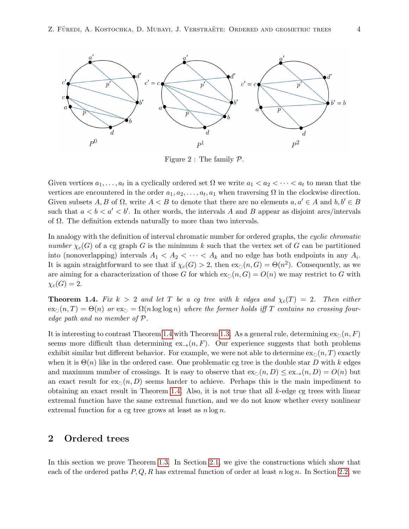

Figure 2 : The family  $\mathcal{P}$ .

Given vertices  $a_1, \ldots, a_t$  in a cyclically ordered set  $\Omega$  we write  $a_1 < a_2 < \cdots < a_t$  to mean that the vertices are encountered in the order  $a_1, a_2, \ldots, a_t, a_1$  when traversing  $\Omega$  in the clockwise direction. Given subsets A, B of  $\Omega$ , write  $A < B$  to denote that there are no elements  $a, a' \in A$  and  $b, b' \in B$ such that  $a < b < a' < b'$ . In other words, the intervals A and B appear as disjoint arcs/intervals of  $\Omega$ . The definition extends naturally to more than two intervals.

In analogy with the definition of interval chromatic number for ordered graphs, the cyclic chromatic number  $\chi_c(G)$  of a cg graph G is the minimum k such that the vertex set of G can be partitioned into (nonoverlapping) intervals  $A_1 < A_2 < \cdots < A_k$  and no edge has both endpoints in any  $A_i$ . It is again straightforward to see that if  $\chi_c(G) > 2$ , then  $ex_{\circlearrowright}(n, G) = \Theta(n^2)$ . Consequently, as we are aiming for a characterization of those G for which  $ex_{\circlearrowright}(n, G) = O(n)$  we may restrict to G with  $\chi_c(G) = 2.$ 

<span id="page-3-0"></span>**Theorem 1.4.** Fix  $k > 2$  and let T be a cg tree with k edges and  $\chi_c(T) = 2$ . Then either  $\exp(n, T) = \Theta(n)$  or  $\exp(-\Omega(n \log \log n))$  where the former holds iff T contains no crossing fouredge path and no member of P.

It is interesting to contrast Theorem [1.4](#page-3-0) with Theorem [1.3.](#page-2-0) As a general rule, determining  $ex_0(n, F)$ seems more difficult than determining  $ex_{\rightarrow}(n, F)$ . Our experience suggests that both problems exhibit similar but different behavior. For example, we were not able to determine  $\exp(n, T)$  exactly when it is  $\Theta(n)$  like in the ordered case. One problematic cg tree is the double star D with k edges and maximum number of crossings. It is easy to observe that  $\operatorname{ex}_{\mathcal{O}}(n, D) \leq \operatorname{ex}_{\rightarrow}(n, D) = O(n)$  but an exact result for  $\exp(n, D)$  seems harder to achieve. Perhaps this is the main impediment to obtaining an exact result in Theorem [1.4.](#page-3-0) Also, it is not true that all k-edge cg trees with linear extremal function have the same extremal function, and we do not know whether every nonlinear extremal function for a cg tree grows at least as  $n \log n$ .

# 2 Ordered trees

In this section we prove Theorem [1.3.](#page-2-0) In Section [2.1,](#page-4-0) we give the constructions which show that each of the ordered paths  $P, Q, R$  has extremal function of order at least  $n \log n$ . In Section [2.2,](#page-4-1) we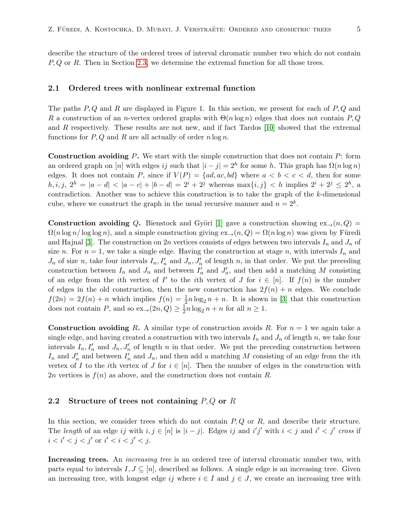describe the structure of the ordered trees of interval chromatic number two which do not contain  $P, Q$  or R. Then in Section [2.3,](#page-6-0) we determine the extremal function for all those trees.

#### <span id="page-4-0"></span>2.1 Ordered trees with nonlinear extremal function

The paths  $P, Q$  and R are displayed in Figure 1. In this section, we present for each of  $P, Q$  and R a construction of an n-vertex ordered graphs with  $\Theta(n \log n)$  edges that does not contain P, Q and R respectively. These results are not new, and if fact Tardos [\[10\]](#page-12-2) showed that the extremal functions for  $P, Q$  and R are all actually of order  $n \log n$ .

**Construction avoiding P.** We start with the simple construction that does not contain  $P$ : form an ordered graph on [n] with edges ij such that  $|i - j| = 2<sup>h</sup>$  for some h. This graph has  $\Omega(n \log n)$ edges. It does not contain P, since if  $V(P) = \{ad, ac, bd\}$  where  $a < b < c < d$ , then for some  $h, i, j, 2^h = |a - d| < |a - c| + |b - d| = 2^i + 2^j$  whereas  $\max\{i, j\} < h$  implies  $2^i + 2^j \le 2^h$ , a contradiction. Another was to achieve this construction is to take the graph of the k-dimensional cube, where we construct the graph in the usual recursive manner and  $n = 2<sup>k</sup>$ .

**Construction avoiding Q.** Bienstock and Györi [\[1\]](#page-12-5) gave a construction showing  $ex_{\rightarrow}(n, Q)$  =  $\Omega(n \log n / \log \log n)$ , and a simple construction giving  $\exp(n, Q) = \Omega(n \log n)$  was given by Füredi and Hajnal [\[3\]](#page-12-1). The construction on 2n vertices consists of edges between two intervals  $I_n$  and  $J_n$  of size n. For  $n = 1$ , we take a single edge. Having the construction at stage n, with intervals  $I_n$  and  $J_n$  of size n, take four intervals  $I_n, I'_n$  and  $J_n, J'_n$  of length n, in that order. We put the preceding construction between  $I_n$  and  $J_n$  and between  $I'_n$  and  $J'_n$ , and then add a matching M consisting of an edge from the *i*th vertex of I' to the *i*th vertex of J for  $i \in [n]$ . If  $f(n)$  is the number of edges in the old construction, then the new construction has  $2f(n) + n$  edges. We conclude  $f(2n) = 2f(n) + n$  which implies  $f(n) = \frac{1}{2}n \log_2 n + n$ . It is shown in [\[3\]](#page-12-1) that this construction does not contain P, and so  $\operatorname{ex}_{\rightarrow}(2n, Q) \geq \frac{1}{2}$  $\frac{1}{2}n \log_2 n + n$  for all  $n \geq 1$ .

**Construction avoiding R.** A similar type of construction avoids R. For  $n = 1$  we again take a single edge, and having created a construction with two intervals  $I_n$  and  $J_n$  of length n, we take four intervals  $I_n$ ,  $I'_n$  and  $J_n$ ,  $J'_n$  of length n in that order. We put the preceding construction between  $I_n$  and  $J'_n$  and between  $I'_n$  and  $J_n$ , and then add a matching M consisting of an edge from the *i*th vertex of I to the ith vertex of J for  $i \in [n]$ . Then the number of edges in the construction with 2n vertices is  $f(n)$  as above, and the construction does not contain R.

# <span id="page-4-1"></span>2.2 Structure of trees not containing  $P, Q$  or  $R$

In this section, we consider trees which do not contain  $P, Q$  or  $R$ , and describe their structure. The length of an edge ij with  $i, j \in [n]$  is  $|i - j|$ . Edges ij and i'j' with  $i < j$  and i'  $\langle j' \rangle$  cross if  $i < i' < j < j'$  or  $i' < i < j' < j$ .

Increasing trees. An *increasing tree* is an ordered tree of interval chromatic number two, with parts equal to intervals  $I, J \subseteq [n]$ , described as follows. A single edge is an increasing tree. Given an increasing tree, with longest edge ij where  $i \in I$  and  $j \in J$ , we create an increasing tree with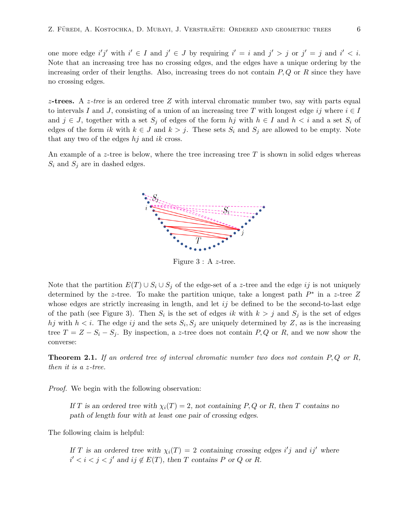one more edge i'j' with  $i' \in I$  and  $j' \in J$  by requiring  $i' = i$  and  $j' > j$  or  $j' = j$  and  $i' < i$ . Note that an increasing tree has no crossing edges, and the edges have a unique ordering by the increasing order of their lengths. Also, increasing trees do not contain  $P, Q$  or R since they have no crossing edges.

z-trees. A z-tree is an ordered tree Z with interval chromatic number two, say with parts equal to intervals I and J, consisting of a union of an increasing tree T with longest edge ij where  $i \in I$ and  $j \in J$ , together with a set  $S_j$  of edges of the form hj with  $h \in I$  and  $h < i$  and a set  $S_i$  of edges of the form ik with  $k \in J$  and  $k > j$ . These sets  $S_i$  and  $S_j$  are allowed to be empty. Note that any two of the edges  $hj$  and ik cross.

An example of a z-tree is below, where the tree increasing tree  $T$  is shown in solid edges whereas  $S_i$  and  $S_j$  are in dashed edges.



Figure 3 : A z-tree.

Note that the partition  $E(T) \cup S_i \cup S_j$  of the edge-set of a z-tree and the edge ij is not uniquely determined by the z-tree. To make the partition unique, take a longest path  $P^*$  in a z-tree Z whose edges are strictly increasing in length, and let  $ij$  be defined to be the second-to-last edge of the path (see Figure 3). Then  $S_i$  is the set of edges ik with  $k > j$  and  $S_j$  is the set of edges hj with  $h < i$ . The edge ij and the sets  $S_i, S_j$  are uniquely determined by Z, as is the increasing tree  $T = Z - S_i - S_j$ . By inspection, a z-tree does not contain P, Q or R, and we now show the converse:

**Theorem 2.1.** If an ordered tree of interval chromatic number two does not contain  $P, Q$  or  $R$ , then it is a z-tree.

Proof. We begin with the following observation:

If T is an ordered tree with  $\chi_i(T) = 2$ , not containing P, Q or R, then T contains no path of length four with at least one pair of crossing edges.

The following claim is helpful:

If T is an ordered tree with  $\chi_i(T) = 2$  containing crossing edges i'j and ij' where  $i' < i < j < j'$  and  $ij \notin E(T)$ , then T contains P or Q or R.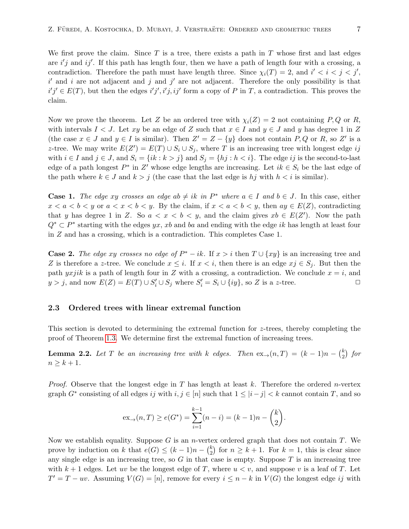We first prove the claim. Since  $T$  is a tree, there exists a path in  $T$  whose first and last edges are  $i'j$  and  $ij'$ . If this path has length four, then we have a path of length four with a crossing, a contradiction. Therefore the path must have length three. Since  $\chi_i(T) = 2$ , and  $i' < i < j < j'$ ,  $i'$  and i are not adjacent and j and j' are not adjacent. Therefore the only possibility is that  $i'j' \in E(T)$ , but then the edges  $i'j', i'j, ij'$  form a copy of P in T, a contradiction. This proves the claim.

Now we prove the theorem. Let Z be an ordered tree with  $\chi_i(Z) = 2$  not containing P, Q or R, with intervals  $I < J$ . Let xy be an edge of Z such that  $x \in I$  and  $y \in J$  and y has degree 1 in Z (the case  $x \in J$  and  $y \in I$  is similar). Then  $Z' = Z - \{y\}$  does not contain P, Q or R, so Z' is a z-tree. We may write  $E(Z') = E(T) \cup S_i \cup S_j$ , where T is an increasing tree with longest edge ij with  $i \in I$  and  $j \in J$ , and  $S_i = \{ik : k > j\}$  and  $S_j = \{hj : h < i\}$ . The edge ij is the second-to-last edge of a path longest  $P^*$  in  $Z'$  whose edge lengths are increasing. Let  $ik \in S_i$  be the last edge of the path where  $k \in J$  and  $k > j$  (the case that the last edge is  $hj$  with  $h < i$  is similar).

**Case 1.** The edge xy crosses an edge ab  $\neq ik$  in  $P^*$  where  $a \in I$  and  $b \in J$ . In this case, either  $x < a < b < y$  or  $a < x < b < y$ . By the claim, if  $x < a < b < y$ , then  $ay \in E(Z)$ , contradicting that y has degree 1 in Z. So  $a < x < b < y$ , and the claim gives  $xb \in E(Z')$ . Now the path  $Q^* \subset P^*$  starting with the edges yx, xb and ba and ending with the edge ik has length at least four in Z and has a crossing, which is a contradiction. This completes Case 1.

**Case 2.** The edge xy crosses no edge of  $P^* - ik$ . If  $x > i$  then  $T \cup \{xy\}$  is an increasing tree and Z is therefore a z-tree. We conclude  $x \leq i$ . If  $x < i$ , then there is an edge  $xj \in S_i$ . But then the path yxjik is a path of length four in Z with a crossing, a contradiction. We conclude  $x = i$ , and  $y > j$ , and now  $E(Z) = E(T) \cup S'_i \cup S_j$  where  $S'_i = S_i \cup \{iy\}$ , so Z is a z-tree.

### <span id="page-6-0"></span>2.3 Ordered trees with linear extremal function

This section is devoted to determining the extremal function for  $z$ -trees, thereby completing the proof of Theorem [1.3.](#page-2-0) We determine first the extremal function of increasing trees.

<span id="page-6-1"></span>**Lemma 2.2.** Let T be an increasing tree with k edges. Then  $ex_{\rightarrow}(n,T) = (k-1)n - {k \choose 2}$  $\binom{k}{2}$  for  $n \geq k+1$ .

*Proof.* Observe that the longest edge in T has length at least k. Therefore the ordered n-vertex graph  $G^*$  consisting of all edges ij with  $i, j \in [n]$  such that  $1 \leq |i - j| < k$  cannot contain T, and so

$$
ex_{\to}(n,T) \ge e(G^*) = \sum_{i=1}^{k-1} (n-i) = (k-1)n - {k \choose 2}.
$$

Now we establish equality. Suppose G is an *n*-vertex ordered graph that does not contain T. We prove by induction on k that  $e(G) \leq (k-1)n - {k \choose 2}$  $\binom{k}{2}$  for  $n \geq k+1$ . For  $k=1$ , this is clear since any single edge is an increasing tree, so  $G$  in that case is empty. Suppose  $T$  is an increasing tree with  $k + 1$  edges. Let uv be the longest edge of T, where  $u < v$ , and suppose v is a leaf of T. Let  $T' = T - uv$ . Assuming  $V(G) = [n]$ , remove for every  $i \leq n - k$  in  $V(G)$  the longest edge ij with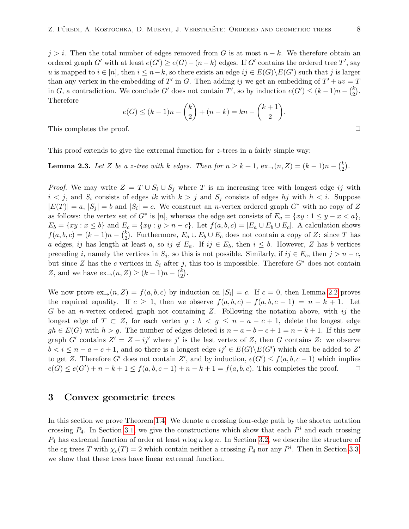$j > i$ . Then the total number of edges removed from G is at most  $n - k$ . We therefore obtain an ordered graph G' with at least  $e(G') \ge e(G) - (n - k)$  edges. If G' contains the ordered tree T', say u is mapped to  $i \in [n]$ , then  $i \leq n-k$ , so there exists an edge  $ij \in E(G) \backslash E(G')$  such that j is larger than any vertex in the embedding of T' in G. Then adding ij we get an embedding of  $T' + uv = T$ in G, a contradiction. We conclude G' does not contain T', so by induction  $e(G') \leq (k-1)n - {k \choose 2}$  $\binom{k}{2}$ . Therefore

$$
e(G) \le (k-1)n - {k \choose 2} + (n-k) = kn - {k+1 \choose 2}.
$$

This completes the proof.  $\Box$ 

This proof extends to give the extremal function for  $z$ -trees in a fairly simple way:

<span id="page-7-0"></span>**Lemma 2.3.** Let Z be a z-tree with k edges. Then for  $n \geq k+1$ ,  $ex_{\rightarrow}(n, Z) = (k-1)n - {k \choose 2}$  $\binom{k}{2}$ .

*Proof.* We may write  $Z = T \cup S_i \cup S_j$  where T is an increasing tree with longest edge ij with  $i < j$ , and  $S_i$  consists of edges ik with  $k > j$  and  $S_j$  consists of edges hj with  $h < i$ . Suppose  $|E(T)| = a, |S_j| = b$  and  $|S_i| = c$ . We construct an *n*-vertex ordered graph  $G^*$  with no copy of Z as follows: the vertex set of  $G^*$  is [n], whereas the edge set consists of  $E_a = \{xy : 1 \le y - x < a\},\$  $E_b = \{xy : x \le b\}$  and  $E_c = \{xy : y > n - c\}$ . Let  $f(a, b, c) = |E_a \cup E_b \cup E_c|$ . A calculation shows  $f(a, b, c) = (k - 1)n - {k \choose 2}$ <sup>k</sup><sub>2</sub>). Furthermore,  $E_a \cup E_b \cup E_c$  does not contain a copy of Z: since T has a edges, ij has length at least a, so ij  $\notin E_a$ . If ij  $\in E_b$ , then  $i \leq b$ . However, Z has b vertices preceding i, namely the vertices in  $S_j$ , so this is not possible. Similarly, if  $ij \in E_c$ , then  $j > n - c$ , but since Z has the c vertices in  $S_i$  after j, this too is impossible. Therefore  $G^*$  does not contain Z, and we have  $\operatorname{ex}_{\rightarrow}(n, Z) \geq (k-1)n - \binom{k}{2}$  $\binom{k}{2}$ .

We now prove  $ex_{\rightarrow}(n, Z) = f(a, b, c)$  by induction on  $|S_i| = c$ . If  $c = 0$ , then Lemma [2.2](#page-6-1) proves the required equality. If  $c \geq 1$ , then we observe  $f(a, b, c) - f(a, b, c - 1) = n - k + 1$ . Let G be an *n*-vertex ordered graph not containing Z. Following the notation above, with  $i\dot{j}$  the longest edge of  $T \subset Z$ , for each vertex  $g : b < g \leq n - a - c + 1$ , delete the longest edge  $gh \in E(G)$  with  $h > g$ . The number of edges deleted is  $n - a - b - c + 1 = n - k + 1$ . If this new graph G' contains  $Z' = Z - ij'$  where j' is the last vertex of Z, then G contains Z: we observe  $b < i \leq n - a - c + 1$ , and so there is a longest edge  $ij' \in E(G) \backslash E(G')$  which can be added to Z' to get Z. Therefore G' does not contain Z', and by induction,  $e(G') \le f(a, b, c - 1)$  which implies  $e(G) \le e(G') + n - k + 1 \le f(a, b, c - 1) + n - k + 1 = f(a, b, c)$ . This completes the proof.  $\Box$ 

# 3 Convex geometric trees

In this section we prove Theorem [1.4.](#page-3-0) We denote a crossing four-edge path by the shorter notation crossing  $P_4$ . In Section [3.1,](#page-8-0) we give the constructions which show that each  $P<sup>i</sup>$  and each crossing  $P_4$  has extremal function of order at least  $n \log n \log n$ . In Section [3.2,](#page-9-0) we describe the structure of the cg trees T with  $\chi_c(T) = 2$  which contain neither a crossing  $P_4$  nor any  $P^i$ . Then in Section [3.3,](#page-11-0) we show that these trees have linear extremal function.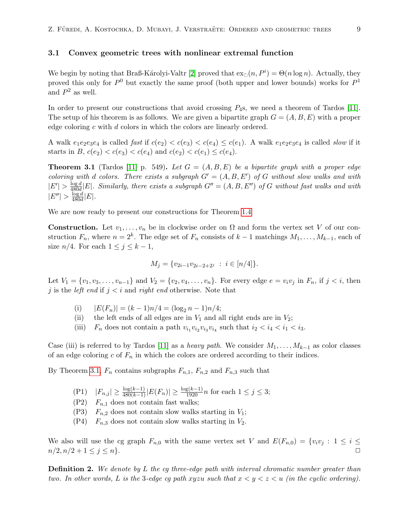#### <span id="page-8-0"></span>3.1 Convex geometric trees with nonlinear extremal function

We begin by noting that Braß-Károlyi-Valtr [\[2\]](#page-12-8) proved that  $\exp(n, P^i) = \Theta(n \log n)$ . Actually, they proved this only for  $P^0$  but exactly the same proof (both upper and lower bounds) works for  $P^1$ and  $P^2$  as well.

In order to present our constructions that avoid crossing  $P_4$ s, we need a theorem of Tardos [\[11\]](#page-12-9). The setup of his theorem is as follows. We are given a bipartite graph  $G = (A, B, E)$  with a proper edge coloring c with d colors in which the colors are linearly ordered.

A walk  $e_1e_2e_3e_4$  is called fast if  $c(e_2) < c(e_3) < c(e_4) \leq c(e_1)$ . A walk  $e_1e_2e_3e_4$  is called slow if it starts in B,  $c(e_2) < c(e_3) < c(e_4)$  and  $c(e_2) < c(e_1) \leq c(e_4)$ .

<span id="page-8-1"></span>**Theorem 3.1** (Tardos [\[11\]](#page-12-9) p. 549). Let  $G = (A, B, E)$  be a bipartite graph with a proper edge coloring with d colors. There exists a subgraph  $G' = (A, B, E')$  of G without slow walks and with  $|E'| > \frac{\log d}{480d}$  $\frac{\log d}{480d}|E|$ . Similarly, there exists a subgraph  $G'' = (A, B, E'')$  of G without fast walks and with  $|E''| > \frac{\log d}{480d}$  $\frac{\log a}{480d}|E|.$ 

We are now ready to present our constructions for Theorem [1.4](#page-3-0)

**Construction.** Let  $v_1, \ldots, v_n$  be in clockwise order on  $\Omega$  and form the vertex set V of our construction  $F_n$ , where  $n = 2^k$ . The edge set of  $F_n$  consists of  $k-1$  matchings  $M_1, \ldots, M_{k-1}$ , each of size  $n/4$ . For each  $1 \leq j \leq k-1$ ,

$$
M_j = \{v_{2i-1}v_{2i-2+2j} : i \in [n/4]\}.
$$

Let  $V_1 = \{v_1, v_3, \ldots, v_{n-1}\}\$  and  $V_2 = \{v_2, v_4, \ldots, v_n\}$ . For every edge  $e = v_i v_j$  in  $F_n$ , if  $j < i$ , then j is the *left end* if  $j < i$  and *right end* otherwise. Note that

- (i)  $|E(F_n)| = (k-1)n/4 = (\log_2 n 1)n/4;$
- (ii) the left ends of all edges are in  $V_1$  and all right ends are in  $V_2$ ;
- (iii)  $F_n$  does not contain a path  $v_{i_1}v_{i_2}v_{i_3}v_{i_4}$  such that  $i_2 < i_4 < i_1 < i_3$ .

Case (iii) is referred to by Tardos [\[11\]](#page-12-9) as a heavy path. We consider  $M_1, \ldots, M_{k-1}$  as color classes of an edge coloring c of  $F_n$  in which the colors are ordered according to their indices.

By Theorem [3.1,](#page-8-1)  $F_n$  contains subgraphs  $F_{n,1}$ ,  $F_{n,2}$  and  $F_{n,3}$  such that

- (P1)  $|F_{n,j}| \ge \frac{\log(k-1)}{480(k-1)} |E(F_n)| \ge \frac{\log(k-1)}{1920} n$  for each  $1 \le j \le 3$ ;
- $(P2)$   $F_{n,1}$  does not contain fast walks;
- $(P3)$   $F_{n,2}$  does not contain slow walks starting in  $V_1$ ;
- $(P4)$   $F_{n,3}$  does not contain slow walks starting in  $V_2$ .

We also will use the cg graph  $F_{n,0}$  with the same vertex set V and  $E(F_{n,0}) = \{v_i v_j : 1 \leq i \leq j \}$  $n/2, n/2 + 1 \leq j \leq n$ .

<span id="page-8-2"></span>**Definition 2.** We denote by L the cg three-edge path with interval chromatic number greater than two. In other words, L is the 3-edge cg path xyzu such that  $x < y < z < u$  (in the cyclic ordering).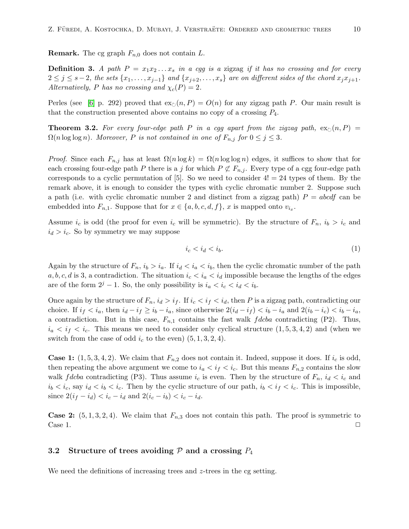**Remark.** The cg graph  $F_{n,0}$  does not contain L.

**Definition 3.** A path  $P = x_1x_2...x_s$  in a cgg is a zigzag if it has no crossing and for every  $2 \leq j \leq s-2$ , the sets  $\{x_1, \ldots, x_{j-1}\}$  and  $\{x_{j+2}, \ldots, x_s\}$  are on different sides of the chord  $x_j x_{j+1}$ . Alternatively, P has no crossing and  $\chi_c(P) = 2$ .

Perles (see [\[6\]](#page-12-10) p. 292) proved that  $\exp(n, P) = O(n)$  for any zigzag path P. Our main result is that the construction presented above contains no copy of a crossing  $P_4$ .

<span id="page-9-1"></span>**Theorem 3.2.** For every four-edge path P in a cgg apart from the zigzag path,  $ex_{\mathbb{C}}(n, P)$  =  $\Omega(n \log \log n)$ . Moreover, P is not contained in one of  $F_{n,j}$  for  $0 \leq j \leq 3$ .

*Proof.* Since each  $F_{n,j}$  has at least  $\Omega(n \log k) = \Omega(n \log \log n)$  edges, it suffices to show that for each crossing four-edge path P there is a j for which  $P \not\subset F_{n,j}$ . Every type of a cgg four-edge path corresponds to a cyclic permutation of  $[5]$ . So we need to consider  $4! = 24$  types of them. By the remark above, it is enough to consider the types with cyclic chromatic number 2. Suppose such a path (i.e. with cyclic chromatic number 2 and distinct from a zigzag path)  $P = abcdf$  can be embedded into  $F_{n,1}$ . Suppose that for  $x \in \{a, b, c, d, f\}$ , x is mapped onto  $v_{i_x}$ .

Assume  $i_c$  is odd (the proof for even  $i_c$  will be symmetric). By the structure of  $F_n$ ,  $i_b > i_c$  and  $i_d > i_c$ . So by symmetry we may suppose

$$
i_c < i_d < i_b. \tag{1}
$$

Again by the structure of  $F_n$ ,  $i_b > i_a$ . If  $i_d < i_a < i_b$ , then the cyclic chromatic number of the path  $a, b, c, d$  is 3, a contradiction. The situation  $i_c < i_a < i_d$  impossible because the lengths of the edges are of the form  $2^j - 1$ . So, the only possibility is  $i_a < i_c < i_d < i_b$ .

Once again by the structure of  $F_n$ ,  $i_d > i_f$ . If  $i_c < i_f < i_d$ , then P is a zigzag path, contradicting our choice. If  $i_f < i_a$ , then  $i_d - i_f \ge i_b - i_a$ , since otherwise  $2(i_d - i_f) < i_b - i_a$  and  $2(i_b - i_c) < i_b - i_a$ , a contradiction. But in this case,  $F_{n,1}$  contains the fast walk fdcba contradicting (P2). Thus,  $i_a < i_f < i_c$ . This means we need to consider only cyclical structure  $(1, 5, 3, 4, 2)$  and (when we switch from the case of odd  $i_c$  to the even)  $(5, 1, 3, 2, 4)$ .

**Case 1:**  $(1, 5, 3, 4, 2)$ . We claim that  $F_{n,2}$  does not contain it. Indeed, suppose it does. If  $i_c$  is odd, then repeating the above argument we come to  $i_a < i_f < i_c$ . But this means  $F_{n,2}$  contains the slow walk *f dcba* contradicting (P3). Thus assume  $i_c$  is even. Then by the structure of  $F_n$ ,  $i_d < i_c$  and  $i_b < i_c$ , say  $i_d < i_b < i_c$ . Then by the cyclic structure of our path,  $i_b < i_f < i_c$ . This is impossible, since  $2(i_f - i_d) < i_c - i_d$  and  $2(i_c - i_b) < i_c - i_d$ .

**Case 2:**  $(5, 1, 3, 2, 4)$ . We claim that  $F_{n,3}$  does not contain this path. The proof is symmetric to Case 1.  $\Box$ 

#### <span id="page-9-0"></span>3.2 Structure of trees avoiding  $P$  and a crossing  $P_4$

We need the definitions of increasing trees and z-trees in the cg setting.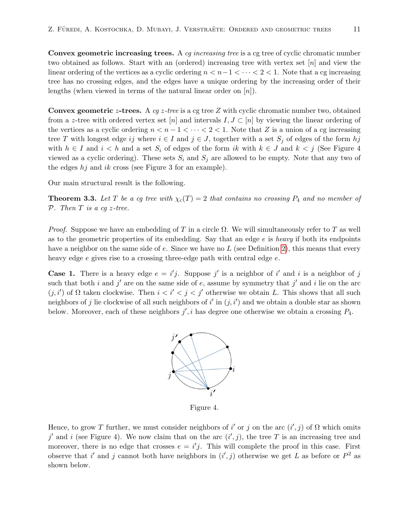Convex geometric increasing trees. A cg increasing tree is a cg tree of cyclic chromatic number two obtained as follows. Start with an (ordered) increasing tree with vertex set [n] and view the linear ordering of the vertices as a cyclic ordering  $n < n-1 < \cdots < 2 < 1$ . Note that a cg increasing tree has no crossing edges, and the edges have a unique ordering by the increasing order of their lengths (when viewed in terms of the natural linear order on  $[n]$ ).

**Convex geometric z-trees.** A cq z-tree is a cg tree Z with cyclic chromatic number two, obtained from a z-tree with ordered vertex set [n] and intervals  $I, J \subset [n]$  by viewing the linear ordering of the vertices as a cyclic ordering  $n < n - 1 < \cdots < 2 < 1$ . Note that Z is a union of a cg increasing tree T with longest edge ij where  $i \in I$  and  $j \in J$ , together with a set  $S_j$  of edges of the form hj with  $h \in I$  and  $i < h$  and a set  $S_i$  of edges of the form ik with  $k \in J$  and  $k < j$  (See Figure 4 viewed as a cyclic ordering). These sets  $S_i$  and  $S_j$  are allowed to be empty. Note that any two of the edges  $hj$  and ik cross (see Figure 3 for an example).

Our main structural result is the following.

<span id="page-10-0"></span>**Theorem 3.3.** Let T be a cg tree with  $\chi_c(T) = 2$  that contains no crossing  $P_4$  and no member of  $P.$  Then T is a cq z-tree.

*Proof.* Suppose we have an embedding of T in a circle  $\Omega$ . We will simultaneously refer to T as well as to the geometric properties of its embedding. Say that an edge  $e$  is heavy if both its endpoints have a neighbor on the same side of  $e$ . Since we have no  $L$  (see Definition [2\)](#page-8-2), this means that every heavy edge e gives rise to a crossing three-edge path with central edge e.

**Case 1.** There is a heavy edge  $e = i'j$ . Suppose j' is a neighbor of i' and i is a neighbor of j such that both i and j' are on the same side of e, assume by symmetry that j' and i lie on the arc  $(j, i')$  of  $\Omega$  taken clockwise. Then  $i < i' < j < j'$  otherwise we obtain L. This shows that all such neighbors of j lie clockwise of all such neighbors of i' in  $(j, i')$  and we obtain a double star as shown below. Moreover, each of these neighbors  $j', i$  has degree one otherwise we obtain a crossing  $P_4$ .



Figure 4.

Hence, to grow T further, we must consider neighbors of i' or j on the arc  $(i', j)$  of  $\Omega$  which omits j' and i (see Figure 4). We now claim that on the arc  $(i', j)$ , the tree T is an increasing tree and moreover, there is no edge that crosses  $e = i'j$ . This will complete the proof in this case. First observe that i' and j cannot both have neighbors in  $(i', j)$  otherwise we get L as before or  $P^2$  as shown below.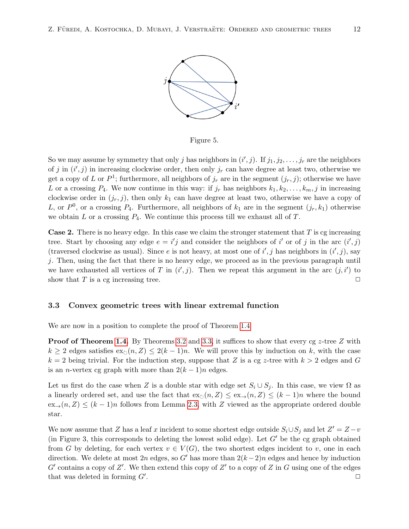

Figure 5.

So we may assume by symmetry that only j has neighbors in  $(i', j)$ . If  $j_1, j_2, \ldots, j_r$  are the neighbors of j in  $(i', j)$  in increasing clockwise order, then only  $j_r$  can have degree at least two, otherwise we get a copy of L or  $P^1$ ; furthermore, all neighbors of  $j_r$  are in the segment  $(j_r, j)$ ; otherwise we have L or a crossing  $P_4$ . We now continue in this way: if  $j_r$  has neighbors  $k_1, k_2, \ldots, k_m, j$  in increasing clockwise order in  $(j_r, j)$ , then only  $k_1$  can have degree at least two, otherwise we have a copy of L, or  $P^0$ , or a crossing  $P_4$ . Furthermore, all neighbors of  $k_1$  are in the segment  $(j_r, k_1)$  otherwise we obtain  $L$  or a crossing  $P_4$ . We continue this process till we exhaust all of  $T$ .

**Case 2.** There is no heavy edge. In this case we claim the stronger statement that  $T$  is cg increasing tree. Start by choosing any edge  $e = i'j$  and consider the neighbors of i' or of j in the arc  $(i', j)$ (traversed clockwise as usual). Since e is not heavy, at most one of  $i', j$  has neighbors in  $(i', j)$ , say j. Then, using the fact that there is no heavy edge, we proceed as in the previous paragraph until we have exhausted all vertices of T in  $(i', j)$ . Then we repeat this argument in the arc  $(j, i')$  to show that T is a cg increasing tree.  $\Box$ 

#### <span id="page-11-0"></span>3.3 Convex geometric trees with linear extremal function

We are now in a position to complete the proof of Theorem [1.4](#page-3-0)

**Proof of Theorem [1.4.](#page-3-0)** By Theorems [3.2](#page-9-1) and [3.3,](#page-10-0) it suffices to show that every cg z-tree Z with  $k \geq 2$  edges satisfies  $\operatorname{ex}_{\circlearrowright}(n, Z) \leq 2(k-1)n$ . We will prove this by induction on k, with the case  $k = 2$  being trivial. For the induction step, suppose that Z is a cg z-tree with  $k > 2$  edges and G is an *n*-vertex cg graph with more than  $2(k-1)n$  edges.

Let us first do the case when Z is a double star with edge set  $S_i \cup S_j$ . In this case, we view  $\Omega$  as a linearly ordered set, and use the fact that  $\exp(n, Z) \leq \exp(n, Z) \leq (k-1)n$  where the bound  $ex_{\rightarrow}(n, Z) \leq (k-1)n$  follows from Lemma [2.3,](#page-7-0) with Z viewed as the appropriate ordered double star.

We now assume that Z has a leaf x incident to some shortest edge outside  $S_i \cup S_j$  and let  $Z' = Z - v$ (in Figure 3, this corresponds to deleting the lowest solid edge). Let  $G'$  be the cg graph obtained from G by deleting, for each vertex  $v \in V(G)$ , the two shortest edges incident to v, one in each direction. We delete at most 2n edges, so G' has more than  $2(k-2)n$  edges and hence by induction  $G'$  contains a copy of  $Z'$ . We then extend this copy of  $Z'$  to a copy of  $Z$  in  $G$  using one of the edges that was deleted in forming  $G'$ . . ✷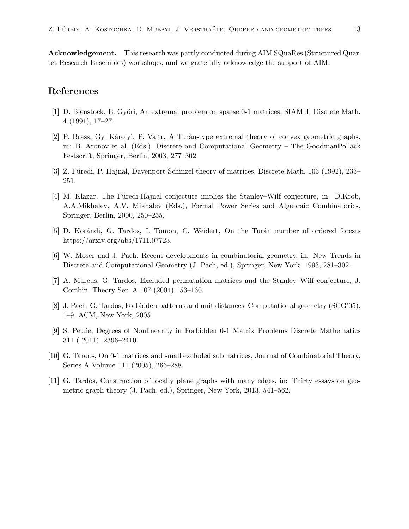Acknowledgement. This research was partly conducted during AIM SQuaRes (Structured Quartet Research Ensembles) workshops, and we gratefully acknowledge the support of AIM.

# References

- <span id="page-12-5"></span>[1] D. Bienstock, E. Györi, An extremal problem on sparse 0-1 matrices. SIAM J. Discrete Math. 4 (1991), 17–27.
- <span id="page-12-8"></span>[2] P. Brass, Gy. Károlyi, P. Valtr, A Turán-type extremal theory of convex geometric graphs, in: B. Aronov et al. (Eds.), Discrete and Computational Geometry – The GoodmanPollack Festscrift, Springer, Berlin, 2003, 277–302.
- <span id="page-12-1"></span>[3] Z. Füredi, P. Hajnal, Davenport-Schinzel theory of matrices. Discrete Math. 103 (1992), 233– 251.
- <span id="page-12-3"></span>[4] M. Klazar, The Füredi-Hajnal conjecture implies the Stanley–Wilf conjecture, in: D.Krob, A.A.Mikhalev, A.V. Mikhalev (Eds.), Formal Power Series and Algebraic Combinatorics, Springer, Berlin, 2000, 250–255.
- <span id="page-12-7"></span>[5] D. Korándi, G. Tardos, I. Tomon, C. Weidert, On the Turán number of ordered forests https://arxiv.org/abs/1711.07723.
- <span id="page-12-10"></span>[6] W. Moser and J. Pach, Recent developments in combinatorial geometry, in: New Trends in Discrete and Computational Geometry (J. Pach, ed.), Springer, New York, 1993, 281–302.
- <span id="page-12-4"></span>[7] A. Marcus, G. Tardos, Excluded permutation matrices and the Stanley–Wilf conjecture, J. Combin. Theory Ser. A 107 (2004) 153–160.
- <span id="page-12-0"></span>[8] J. Pach, G. Tardos, Forbidden patterns and unit distances. Computational geometry (SCG'05), 1–9, ACM, New York, 2005.
- <span id="page-12-6"></span>[9] S. Pettie, Degrees of Nonlinearity in Forbidden 0-1 Matrix Problems Discrete Mathematics 311 ( 2011), 2396–2410.
- <span id="page-12-2"></span>[10] G. Tardos, On 0-1 matrices and small excluded submatrices, Journal of Combinatorial Theory, Series A Volume 111 (2005), 266–288.
- <span id="page-12-9"></span>[11] G. Tardos, Construction of locally plane graphs with many edges, in: Thirty essays on geometric graph theory (J. Pach, ed.), Springer, New York, 2013, 541–562.